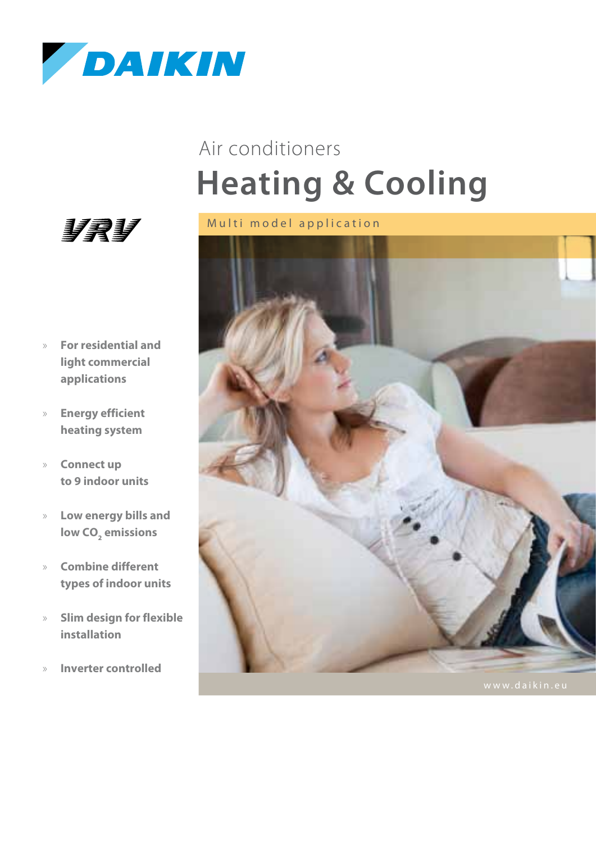

# **Heating & Cooling** Air conditioners





- » **For residential and light commercial applications**
- » **Energy efficient heating system**
- » **Connect up to 9 indoor units**
- » **Low energy bills and**  low CO<sub>2</sub> emissions
- » **Combine different types of indoor units**
- » **Slim design for flexible installation**
- » **Inverter controlled**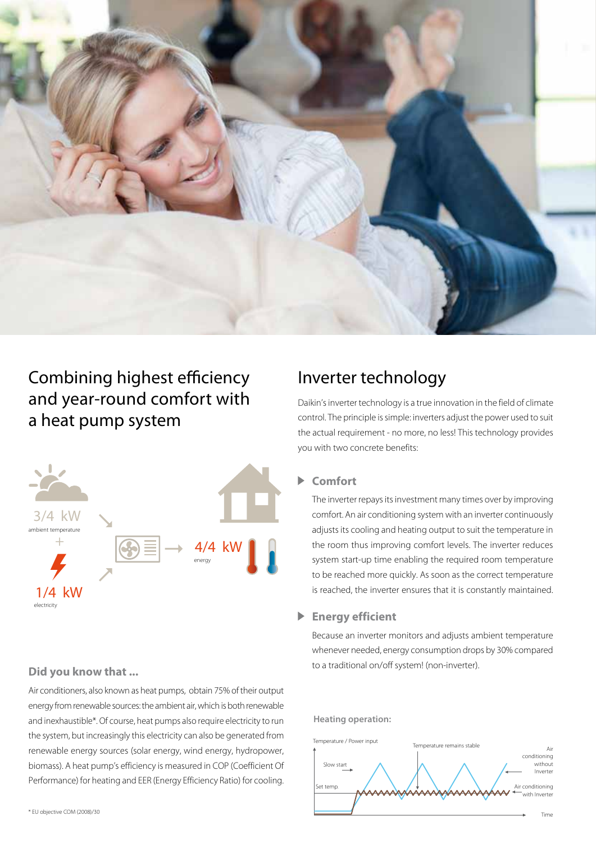

### Combining highest efficiency and year-round comfort with a heat pump system



Air conditioners, also known as heat pumps, obtain 75% of their output energy from renewable sources: the ambient air, which is both renewable and inexhaustible\*. Of course, heat pumps also require electricity to run the system, but increasingly this electricity can also be generated from renewable energy sources (solar energy, wind energy, hydropower, biomass). A heat pump's efficiency is measured in COP (Coefficient Of Performance) for heating and EER (Energy Efficiency Ratio) for cooling.

### Inverter technology

Daikin's inverter technology is a true innovation in the field of climate control. The principle is simple: inverters adjust the power used to suit the actual requirement - no more, no less! This technology provides you with two concrete benefits:

#### **Comfort**

The inverter repays its investment many times over by improving comfort. An air conditioning system with an inverter continuously adjusts its cooling and heating output to suit the temperature in the room thus improving comfort levels. The inverter reduces system start-up time enabling the required room temperature to be reached more quickly. As soon as the correct temperature is reached, the inverter ensures that it is constantly maintained.

#### **Energy efficient**

Because an inverter monitors and adjusts ambient temperature whenever needed, energy consumption drops by 30% compared **Did you know that ... Did you know that ... Did you know that ... Did you know that ...** 

#### **Heating operation:**

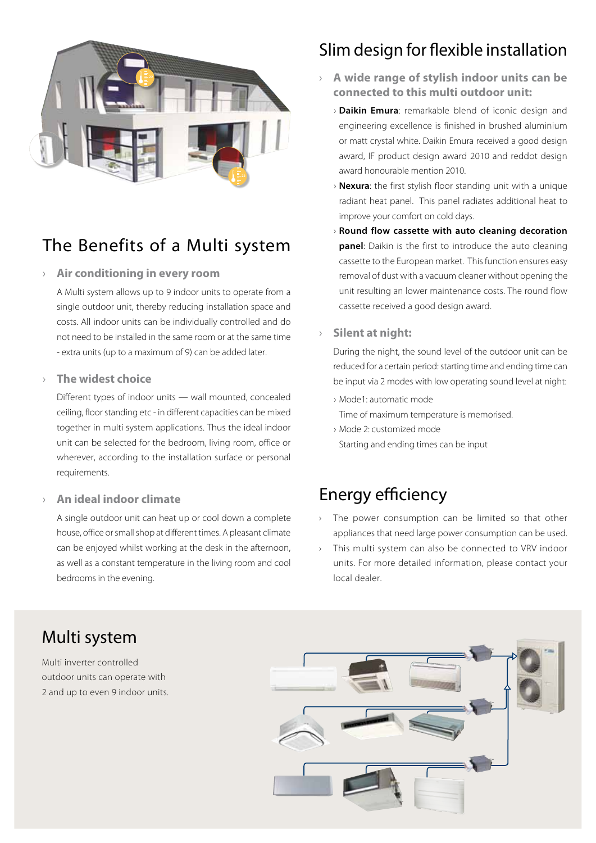

### The Benefits of a Multi system

#### › **Air conditioning in every room**

A Multi system allows up to 9 indoor units to operate from a single outdoor unit, thereby reducing installation space and costs. All indoor units can be individually controlled and do not need to be installed in the same room or at the same time - extra units (up to a maximum of 9) can be added later.

#### › **The widest choice**

Different types of indoor units — wall mounted, concealed ceiling, floor standing etc - in different capacities can be mixed together in multi system applications. Thus the ideal indoor unit can be selected for the bedroom, living room, office or wherever, according to the installation surface or personal requirements.

### › **An ideal indoor climate**

A single outdoor unit can heat up or cool down a complete house, office or small shop at different times. A pleasant climate can be enjoyed whilst working at the desk in the afternoon, as well as a constant temperature in the living room and cool bedrooms in the evening.

### Slim design for flexible installation

- › **A wide range of stylish indoor units can be connected to this multi outdoor unit:**
	- › **Daikin Emura**: remarkable blend of iconic design and engineering excellence is finished in brushed aluminium or matt crystal white. Daikin Emura received a good design award, IF product design award 2010 and reddot design award honourable mention 2010.
	- › **Nexura**: the first stylish floor standing unit with a unique radiant heat panel. This panel radiates additional heat to improve your comfort on cold days.
	- › **Round flow cassette with auto cleaning decoration panel**: Daikin is the first to introduce the auto cleaning cassette to the European market. This function ensures easy removal of dust with a vacuum cleaner without opening the unit resulting an lower maintenance costs. The round flow cassette received a good design award.

#### › **Silent at night:**

During the night, the sound level of the outdoor unit can be reduced for a certain period: starting time and ending time can be input via 2 modes with low operating sound level at night:

› Mode1: automatic mode

Time of maximum temperature is memorised.

› Mode 2: customized mode Starting and ending times can be input

### Energy efficiency

- › The power consumption can be limited so that other appliances that need large power consumption can be used.
- This multi system can also be connected to VRV indoor units. For more detailed information, please contact your local dealer.



Multi inverter controlled outdoor units can operate with 2 and up to even 9 indoor units.

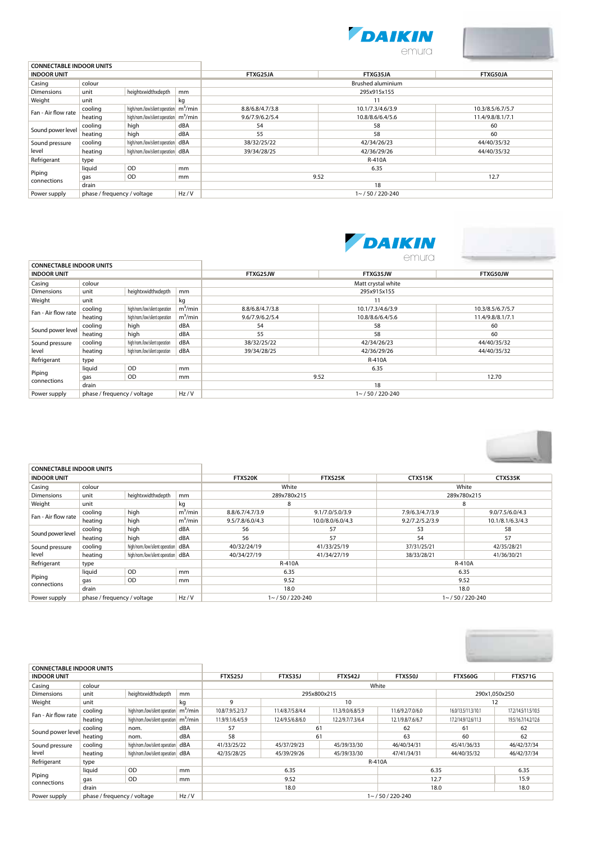



| <b>CONNECTABLE INDOOR UNITS</b>                                                                             |                             |                                                   |      |                 |                          |                  |  |  |  |
|-------------------------------------------------------------------------------------------------------------|-----------------------------|---------------------------------------------------|------|-----------------|--------------------------|------------------|--|--|--|
| <b>INDOOR UNIT</b>                                                                                          |                             |                                                   |      | FTXG25JA        | FTXG35JA                 | FTXG50JA         |  |  |  |
| Casing                                                                                                      | colour                      |                                                   |      |                 | <b>Brushed aluminium</b> |                  |  |  |  |
| Dimensions                                                                                                  | unit                        | heightxwidthxdepth                                | mm   |                 | 295x915x155              |                  |  |  |  |
| Weight                                                                                                      | unit<br>kg                  |                                                   |      |                 | 11                       |                  |  |  |  |
|                                                                                                             | cooling                     | high/nom/low/silent operation m <sup>3</sup> /min |      | 8.8/6.8/4.7/3.8 | 10.1/7.3/4.6/3.9         | 10.3/8.5/6.7/5.7 |  |  |  |
|                                                                                                             | heating                     | high/nom/low/silent operation m <sup>3</sup> /min |      | 9.6/7.9/6.2/5.4 | 10.8/8.6/6.4/5.6         | 11.4/9.8/8.1/7.1 |  |  |  |
|                                                                                                             | cooling                     | high                                              | dBA  | 54              | 58                       | 60               |  |  |  |
| Fan - Air flow rate<br>Sound power level<br>Sound pressure<br>level<br>Refrigerant<br>Piping<br>connections | heating                     | high                                              | dBA  | 55              | 58                       | 60               |  |  |  |
|                                                                                                             | cooling                     | high/nom/low/silent operation   dBA               |      | 38/32/25/22     | 42/34/26/23              | 44/40/35/32      |  |  |  |
|                                                                                                             | heating                     | high/nom/low/silent operation   dBA               |      | 39/34/28/25     | 42/36/29/26              | 44/40/35/32      |  |  |  |
|                                                                                                             | type                        |                                                   |      |                 | R-410A                   |                  |  |  |  |
|                                                                                                             | liquid                      | <b>OD</b>                                         | mm   |                 | 6.35                     |                  |  |  |  |
|                                                                                                             | gas                         | <b>OD</b>                                         | mm   | 9.52            | 12.7                     |                  |  |  |  |
|                                                                                                             | drain                       |                                                   |      |                 | 18                       |                  |  |  |  |
| Power supply                                                                                                | phase / frequency / voltage |                                                   | Hz/V |                 | $1 - 750 / 220 - 240$    |                  |  |  |  |
|                                                                                                             |                             |                                                   |      |                 |                          |                  |  |  |  |





|                                 |                                     |                                |            |                    | emura               |                  |  |  |  |
|---------------------------------|-------------------------------------|--------------------------------|------------|--------------------|---------------------|------------------|--|--|--|
| <b>CONNECTABLE INDOOR UNITS</b> |                                     |                                |            |                    |                     |                  |  |  |  |
| <b>INDOOR UNIT</b>              |                                     |                                |            | FTXG25JW           | FTXG35JW            | FTXG50JW         |  |  |  |
| Casing                          | colour                              |                                |            | Matt crystal white |                     |                  |  |  |  |
| <b>Dimensions</b>               | unit                                | heightxwidthxdepth             | mm         | 295x915x155        |                     |                  |  |  |  |
| Weight                          | unit                                |                                | kg         |                    | 11                  |                  |  |  |  |
| Fan - Air flow rate             | cooling                             | high/nom./low/silent operation | $m^3/m$ in | 8.8/6.8/4.7/3.8    | 10.1/7.3/4.6/3.9    | 10.3/8.5/6.7/5.7 |  |  |  |
|                                 | heating                             | high/nom./low/silent operation | $m^3/m$ in | 9.6/7.9/6.2/5.4    | 10.8/8.6/6.4/5.6    | 11.4/9.8/8.1/7.1 |  |  |  |
| Sound power level               | cooling                             | high                           | dBA        | 54                 | 58                  | 60               |  |  |  |
|                                 | heating                             | high                           | dBA        | 55                 | 58                  | 60               |  |  |  |
| Sound pressure                  | cooling                             | high/nom./low/silent operation | dBA        | 38/32/25/22        | 42/34/26/23         | 44/40/35/32      |  |  |  |
| level                           | heating                             | high/nom./low/silent operation | dBA        | 39/34/28/25        | 42/36/29/26         | 44/40/35/32      |  |  |  |
| Refrigerant                     | type                                |                                |            |                    | <b>R-410A</b>       |                  |  |  |  |
|                                 | liquid                              | <b>OD</b>                      | mm         |                    | 6.35                |                  |  |  |  |
| Piping<br>connections           | gas                                 | <b>OD</b>                      | mm         | 9.52               | 12.70               |                  |  |  |  |
|                                 | drain                               |                                |            |                    | 18                  |                  |  |  |  |
| Power supply                    | phase / frequency / voltage<br>Hz/V |                                |            |                    | $1 - 750/220 - 240$ |                  |  |  |  |



| <b>CONNECTABLE INDOOR UNITS</b> |                             |                                    |               |                 |                     |                     |                  |  |
|---------------------------------|-----------------------------|------------------------------------|---------------|-----------------|---------------------|---------------------|------------------|--|
| <b>INDOOR UNIT</b>              |                             |                                    |               | FTXS20K         | FTXS25K             | CTXS15K             | CTXS35K          |  |
| Casing                          | colour                      |                                    |               | White           |                     | White               |                  |  |
| <b>Dimensions</b>               | unit                        | heightxwidthxdepth                 | mm            | 289x780x215     |                     |                     | 289x780x215      |  |
| Weight                          | unit                        |                                    | kg            | 8               |                     |                     | 8                |  |
| Fan - Air flow rate             | cooling                     | high                               | $m^3/m$ in    | 8.8/6.7/4.7/3.9 | 9.1/7.0/5.0/3.9     | 7.9/6.3/4.7/3.9     | 9.0/7.5/6.0/4.3  |  |
|                                 | heating                     | high                               | $m^3/m$ in    | 9.5/7.8/6.0/4.3 | 10.0/8.0/6.0/4.3    | 9.2/7.2/5.2/3.9     | 10.1/8.1/6.3/4.3 |  |
|                                 | cooling                     | high                               | dBA           | 56              | 57                  | 53                  | 58               |  |
| Sound power level               | heating                     | high                               | dBA           | 56              | 57                  | 54                  | 57               |  |
| Sound pressure                  | cooling                     | high/nom./low/silent operation     | dBA           | 40/32/24/19     | 41/33/25/19         | 37/31/25/21         | 42/35/28/21      |  |
| level                           | heating                     | high/nom./low/silent operation dBA |               | 40/34/27/19     | 41/34/27/19         | 38/33/28/21         | 41/36/30/21      |  |
| Refrigerant                     | type                        |                                    |               | R-410A          |                     | R-410A              |                  |  |
|                                 | liquid                      | <b>OD</b>                          | <sub>mm</sub> | 6.35            |                     |                     | 6.35             |  |
| Piping<br>connections           | gas                         | <b>OD</b>                          | <sub>mm</sub> | 9.52            |                     |                     | 9.52             |  |
|                                 | drain                       |                                    |               | 18.0            |                     | 18.0                |                  |  |
| Power supply                    | phase / frequency / voltage |                                    | Hz/V          |                 | $1 - 750/220 - 240$ | $1 - 750/220 - 240$ |                  |  |



| <b>CONNECTABLE INDOOR UNITS</b> |                             |                                |               |                     |                  |                  |                  |                     |                     |  |
|---------------------------------|-----------------------------|--------------------------------|---------------|---------------------|------------------|------------------|------------------|---------------------|---------------------|--|
| <b>INDOOR UNIT</b>              |                             |                                |               | FTXS25J             | <b>FTXS35J</b>   | FTXS42J          | <b>FTXS50J</b>   | FTXS60G             | FTXS71G             |  |
| Casing                          | colour                      |                                |               |                     | White            |                  |                  |                     |                     |  |
| <b>Dimensions</b>               | unit                        | heightxwidthxdepth             | <sub>mm</sub> |                     |                  | 295x800x215      |                  | 290x1.050x250       |                     |  |
| Weight                          | unit                        |                                | kg            | 9                   |                  | 10               |                  |                     | 12                  |  |
| Fan - Air flow rate             | cooling                     | high/nom./low/silent operation | $m^3/m$ in    | 10.8/7.9/5.2/3.7    | 11.4/8.7/5.8/4.4 | 11.3/9.0/6.8/5.9 | 11.6/9.2/7.0/6.0 | 16.0/13.5/11.3/10.1 | 17.2/14.5/11.5/10.5 |  |
|                                 | heating                     | high/nom./low/silent operation | $m^3/m$ in    | 11.9/9.1/6.4/5.9    | 12.4/9.5/6.8/6.0 | 12.2/9.7/7.3/6.4 | 12.1/9.8/7.6/6.7 | 17.2/14.9/12.6/11.3 | 19.5/16.7/14.2/12.6 |  |
|                                 | cooling                     | nom.                           | dBA           | 57<br>61            |                  | 62               | 61               | 62                  |                     |  |
| Sound power level               | heating                     | nom.                           | dBA           | 58                  | 61               |                  | 63               | 60                  | 62                  |  |
| Sound pressure                  | cooling                     | high/nom./low/silent operation | dBA           | 41/33/25/22         | 45/37/29/23      | 45/39/33/30      | 46/40/34/31      | 45/41/36/33         | 46/42/37/34         |  |
| level                           | heating                     | high/nom./low/silent operation | dBA           | 42/35/28/25         | 45/39/29/26      | 45/39/33/30      | 47/41/34/31      | 44/40/35/32         | 46/42/37/34         |  |
| Refrigerant                     | type                        |                                |               |                     |                  |                  | <b>R-410A</b>    |                     |                     |  |
|                                 | liquid                      | OD                             | mm            |                     | 6.35             |                  | 6.35             |                     | 6.35                |  |
| Piping<br>connections           | gas                         | <b>OD</b>                      | mm            | 9.52                |                  |                  |                  | 12.7                | 15.9                |  |
|                                 | drain                       |                                |               | 18.0                |                  |                  |                  | 18.0                | 18.0                |  |
| Power supply                    | phase / frequency / voltage |                                | Hz/V          | $1 - 750/220 - 240$ |                  |                  |                  |                     |                     |  |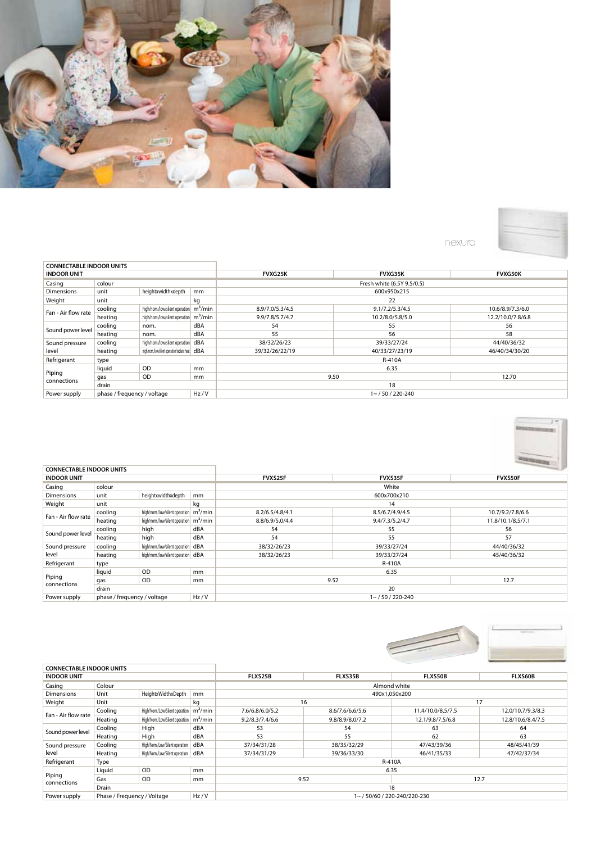

nexura

| <b>CONNECTABLE INDOOR UNITS</b> |                                     |                                                      |     |                 |                            |                   |  |  |  |
|---------------------------------|-------------------------------------|------------------------------------------------------|-----|-----------------|----------------------------|-------------------|--|--|--|
| <b>INDOOR UNIT</b>              |                                     |                                                      |     | <b>FVXG25K</b>  | <b>FVXG35K</b>             | <b>FVXG50K</b>    |  |  |  |
| Casing                          | colour                              |                                                      |     |                 | Fresh white (6.5Y 9.5/0.5) |                   |  |  |  |
| <b>Dimensions</b>               | unit                                | heightxwidthxdepth                                   | mm  |                 | 600x950x215                |                   |  |  |  |
| Weight                          | unit                                |                                                      | kg  | 22              |                            |                   |  |  |  |
| Fan - Air flow rate             | cooling                             | high/nom./low/silent operation   m <sup>3</sup> /min |     | 8.9/7.0/5.3/4.5 | 9.1/7.2/5.3/4.5            | 10.6/8.9/7.3/6.0  |  |  |  |
|                                 | heating                             | high/nom./low/silent operation m <sup>3</sup> /min   |     | 9.9/7.8/5.7/4.7 | 10.2/8.0/5.8/5.0           | 12.2/10.0/7.8/6.8 |  |  |  |
|                                 | cooling                             | nom.                                                 | dBA | 54              | 55                         | 56                |  |  |  |
| Sound power level               | heating                             | nom.                                                 | dBA | 55              | 56                         | 58                |  |  |  |
| Sound pressure                  | cooling                             | high/nom./low/silent operation   dBA                 |     | 38/32/26/23     | 39/33/27/24                | 44/40/36/32       |  |  |  |
| level                           | heating                             | high/nom/low/silent operation/radiant heat   dBA     |     | 39/32/26/22/19  | 40/33/27/23/19             | 46/40/34/30/20    |  |  |  |
| Refrigerant                     | type                                |                                                      |     |                 | <b>R-410A</b>              |                   |  |  |  |
|                                 | liquid                              | <b>OD</b>                                            | mm  |                 | 6.35                       |                   |  |  |  |
| Piping<br>connections           | gas                                 | <b>OD</b>                                            | mm  | 9.50            | 12.70                      |                   |  |  |  |
|                                 | drain                               |                                                      |     |                 | 18                         |                   |  |  |  |
| Power supply                    | Hz/V<br>phase / frequency / voltage |                                                      |     |                 | $1 \sim 750/220 - 240$     |                   |  |  |  |



|                       | <b>CONNECTABLE INDOOR UNITS</b>     |                                                      |     |                 |                     |                   |  |  |  |  |
|-----------------------|-------------------------------------|------------------------------------------------------|-----|-----------------|---------------------|-------------------|--|--|--|--|
| <b>INDOOR UNIT</b>    |                                     |                                                      |     | FVXS25F         | FVXS35F             | FVXS50F           |  |  |  |  |
| Casing                | colour                              |                                                      |     |                 | White               |                   |  |  |  |  |
| Dimensions            | unit                                | heightxwidthxdepth                                   | mm  |                 | 600x700x210         |                   |  |  |  |  |
| Weight                | unit                                |                                                      | kg  |                 | 14                  |                   |  |  |  |  |
| Fan - Air flow rate   | cooling                             | high/nom./low/silent operation   m <sup>3</sup> /min |     | 8.2/6.5/4.8/4.1 | 8.5/6.7/4.9/4.5     | 10.7/9.2/7.8/6.6  |  |  |  |  |
|                       | heating                             | high/nom./low/silent operation   m <sup>3</sup> /min |     | 8.8/6.9/5.0/4.4 | 9.4/7.3/5.2/4.7     | 11.8/10.1/8.5/7.1 |  |  |  |  |
|                       | cooling                             | high                                                 | dBA | 54              | 55                  | 56                |  |  |  |  |
| Sound power level     | heating                             | high                                                 | dBA | 54              | 55                  | 57                |  |  |  |  |
| Sound pressure        | cooling                             | high/nom./low/silent operation   dBA                 |     | 38/32/26/23     | 39/33/27/24         | 44/40/36/32       |  |  |  |  |
| level                 | heating                             | high/nom./low/silent operation   dBA                 |     | 38/32/26/23     | 39/33/27/24         | 45/40/36/32       |  |  |  |  |
| Refrigerant           | type                                |                                                      |     |                 | R-410A              |                   |  |  |  |  |
|                       | liquid                              | <b>OD</b>                                            | mm  |                 | 6.35                |                   |  |  |  |  |
| Piping<br>connections | gas                                 | OD                                                   | mm  |                 | 9.52                |                   |  |  |  |  |
|                       | drain                               |                                                      |     |                 | 20                  |                   |  |  |  |  |
| Power supply          | Hz/V<br>phase / frequency / voltage |                                                      |     |                 | $1 - 750/220 - 240$ |                   |  |  |  |  |



| <b>CONNECTABLE INDOOR UNITS</b> |                                     |                                |               |                 |                 |                          |                   |  |  |
|---------------------------------|-------------------------------------|--------------------------------|---------------|-----------------|-----------------|--------------------------|-------------------|--|--|
| <b>INDOOR UNIT</b>              |                                     |                                |               | FLXS25B         | FLXS35B         | <b>FLXS50B</b>           | <b>FLXS60B</b>    |  |  |
| Casing                          | Colour                              |                                |               | Almond white    |                 |                          |                   |  |  |
| <b>Dimensions</b>               | Unit                                | HeightxWidthxDepth             | mm            |                 |                 | 490x1.050x200            |                   |  |  |
| Weight                          | Unit                                |                                | kg            |                 | 16              |                          | 17                |  |  |
| Fan - Air flow rate             | Cooling                             | High/Nom./Low/Silent operation | $m^3/m$ in    | 7.6/6.8/6.0/5.2 | 8.6/7.6/6.6/5.6 | 11.4/10.0/8.5/7.5        | 12.0/10.7/9.3/8.3 |  |  |
|                                 | Heating                             | High/Nom./Low/Silent operation | $m^3/m$ in    | 9.2/8.3/7.4/6.6 | 9.8/8.9/8.0/7.2 | 12.1/9.8/7.5/6.8         | 12.8/10.6/8.4/7.5 |  |  |
|                                 | Cooling                             | High                           | dBA           | 53              | 54              | 63                       | 64                |  |  |
| Sound power level               | Heating                             | High                           | dBA           | 53              | 55              | 62                       | 63                |  |  |
| Sound pressure                  | Cooling                             | High/Nom./Low/Silent operation | dBA           | 37/34/31/28     | 38/35/32/29     | 47/43/39/36              | 48/45/41/39       |  |  |
| level                           | Heating                             | High/Nom./Low/Silent operation | dBA           | 37/34/31/29     | 39/36/33/30     | 46/41/35/33              | 47/42/37/34       |  |  |
| Refrigerant                     | <b>Type</b>                         |                                |               |                 |                 | R-410A                   |                   |  |  |
|                                 | Liguid                              | <b>OD</b>                      | <sub>mm</sub> |                 |                 | 6.35                     |                   |  |  |
| Piping<br>connections           | Gas                                 | <b>OD</b>                      | mm            |                 | 9.52            |                          | 12.7              |  |  |
|                                 | <b>Drain</b>                        |                                |               |                 | 18              |                          |                   |  |  |
| Power supply                    | Hz/V<br>Phase / Frequency / Voltage |                                |               |                 |                 | 1~/50/60/220-240/220-230 |                   |  |  |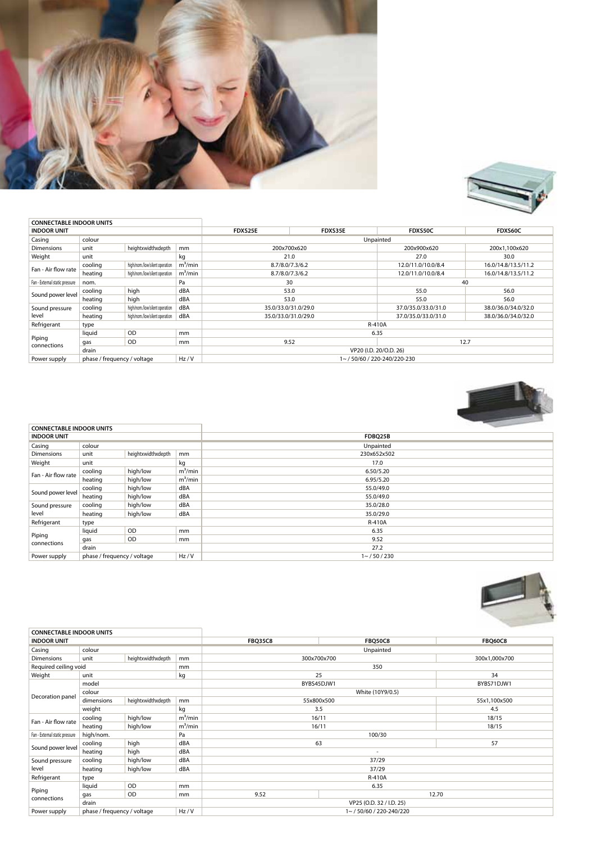



| <b>CONNECTABLE INDOOR UNITS</b> |                             |                                |            |                        |                          |                     |                     |  |  |
|---------------------------------|-----------------------------|--------------------------------|------------|------------------------|--------------------------|---------------------|---------------------|--|--|
| <b>INDOOR UNIT</b>              |                             |                                |            | FDXS25E                | FDXS35E                  | FDXS50C             | FDXS60C             |  |  |
| Casing                          | colour                      |                                |            | Unpainted              |                          |                     |                     |  |  |
| <b>Dimensions</b>               | unit                        | heightxwidthxdepth             | mm         |                        | 200x700x620              | 200x900x620         | 200x1.100x620       |  |  |
| Weight                          | unit                        |                                | kg         |                        | 21.0                     | 27.0                | 30.0                |  |  |
| Fan - Air flow rate             | cooling                     | high/nom./low/silent operation | $m^3/m$ in |                        | 8.7/8.0/7.3/6.2          | 12.0/11.0/10.0/8.4  | 16.0/14.8/13.5/11.2 |  |  |
|                                 | heating                     | high/nom./low/silent operation | $m^3/m$ in |                        | 8.7/8.0/7.3/6.2          | 12.0/11.0/10.0/8.4  | 16.0/14.8/13.5/11.2 |  |  |
| Fan - External static pressure  | nom.                        |                                | Pa         |                        | 30                       | 40                  |                     |  |  |
|                                 | cooling                     | high                           | dBA        | 53.0                   |                          | 55.0                | 56.0                |  |  |
| Sound power level               | heating                     | high                           | dBA        | 53.0                   |                          | 55.0                | 56.0                |  |  |
| Sound pressure                  | cooling                     | high/nom./low/silent operation | dBA        |                        | 35.0/33.0/31.0/29.0      |                     | 38.0/36.0/34.0/32.0 |  |  |
| level                           | heating                     | high/nom./low/silent operation | dBA        |                        | 35.0/33.0/31.0/29.0      | 37.0/35.0/33.0/31.0 | 38.0/36.0/34.0/32.0 |  |  |
| Refrigerant                     | type                        |                                |            |                        | R-410A                   |                     |                     |  |  |
|                                 | liquid                      | <b>OD</b>                      | mm         |                        |                          | 6.35                |                     |  |  |
| Piping<br>connections           | gas                         | <b>OD</b>                      | mm         |                        | 9.52                     | 12.7                |                     |  |  |
|                                 | drain                       |                                |            | VP20 (I.D. 20/O.D. 26) |                          |                     |                     |  |  |
| Power supply                    | phase / frequency / voltage |                                | Hz/V       |                        | 1~/50/60/220-240/220-230 |                     |                     |  |  |



|                     | <b>CONNECTABLE INDOOR UNITS</b>  |           |            | the property of the control of |
|---------------------|----------------------------------|-----------|------------|--------------------------------|
| <b>INDOOR UNIT</b>  |                                  |           |            | FDBQ25B                        |
| Casing              | colour                           |           |            | Unpainted                      |
| Dimensions          | heightxwidthxdepth<br>unit<br>mm |           |            | 230x652x502                    |
| Weight              | unit                             |           | kg         | 17.0                           |
| Fan - Air flow rate | cooling                          | high/low  | $m^3/m$ in | 6.50/5.20                      |
|                     | heating                          | high/low  | $m^3/m$ in | 6.95/5.20                      |
|                     | cooling                          | high/low  | dBA        | 55.0/49.0                      |
| Sound power level   | heating                          | high/low  | dBA        | 55.0/49.0                      |
| Sound pressure      | cooling                          | high/low  | dBA        | 35.0/28.0                      |
| level               | heating                          | high/low  | dBA        | 35.0/29.0                      |
| Refrigerant         | type                             |           |            | R-410A                         |
|                     | liquid                           | <b>OD</b> | mm         | 6.35                           |
| Piping              | gas                              | <b>OD</b> | mm         | 9.52                           |
| connections         | drain                            |           |            | 27.2                           |
| Power supply        | phase / frequency / voltage      |           | Hz/V       | $1 - 750/230$                  |



| <b>CONNECTABLE INDOOR UNITS</b> |                                     |                    |            |                          |                  |                |  |  |
|---------------------------------|-------------------------------------|--------------------|------------|--------------------------|------------------|----------------|--|--|
| <b>INDOOR UNIT</b>              |                                     |                    |            | <b>FBQ35C8</b>           | <b>FBQ50C8</b>   | <b>FBQ60C8</b> |  |  |
| Casing                          | colour                              |                    |            |                          | Unpainted        |                |  |  |
| Dimensions                      | unit                                | heightxwidthxdepth | mm         | 300x700x700              |                  | 300x1,000x700  |  |  |
| Required ceiling void<br>mm     |                                     |                    |            |                          | 350              |                |  |  |
| Weight                          | unit                                |                    | kg         | 25                       |                  | 34             |  |  |
|                                 | model                               |                    |            | BYBS45DJW1               |                  | BYBS71DJW1     |  |  |
|                                 | colour                              |                    |            |                          | White (10Y9/0.5) |                |  |  |
| Decoration panel                | dimensions                          | heightxwidthxdepth | mm         |                          | 55x800x500       |                |  |  |
|                                 | weight                              |                    | kg         |                          | 3.5              |                |  |  |
| Fan - Air flow rate             | cooling                             | high/low           | $m^3/m$ in |                          | 16/11            |                |  |  |
|                                 | heating                             | high/low           | $m^3/m$ in | 16/11                    |                  | 18/15          |  |  |
| Fan - External static pressure  | high/nom.                           |                    | Pa         | 100/30                   |                  |                |  |  |
| Sound power level               | cooling                             | high               | dBA        | 63                       |                  |                |  |  |
|                                 | heating                             | high               | dBA        |                          | $\sim$           |                |  |  |
| Sound pressure                  | cooling                             | high/low           | dBA        | 37/29                    |                  |                |  |  |
| level                           | heating                             | high/low           | dBA        |                          | 37/29            |                |  |  |
| Refrigerant                     | type                                |                    |            |                          | R-410A           |                |  |  |
|                                 | liquid                              | <b>OD</b>          | mm         |                          | 6.35             |                |  |  |
| Piping<br>connections           | gas                                 | <b>OD</b>          | mm         | 9.52                     |                  | 12.70          |  |  |
|                                 | drain                               |                    |            | VP25 (O.D. 32 / I.D. 25) |                  |                |  |  |
| Power supply                    | Hz/V<br>phase / frequency / voltage |                    |            | 1~/50/60/220-240/220     |                  |                |  |  |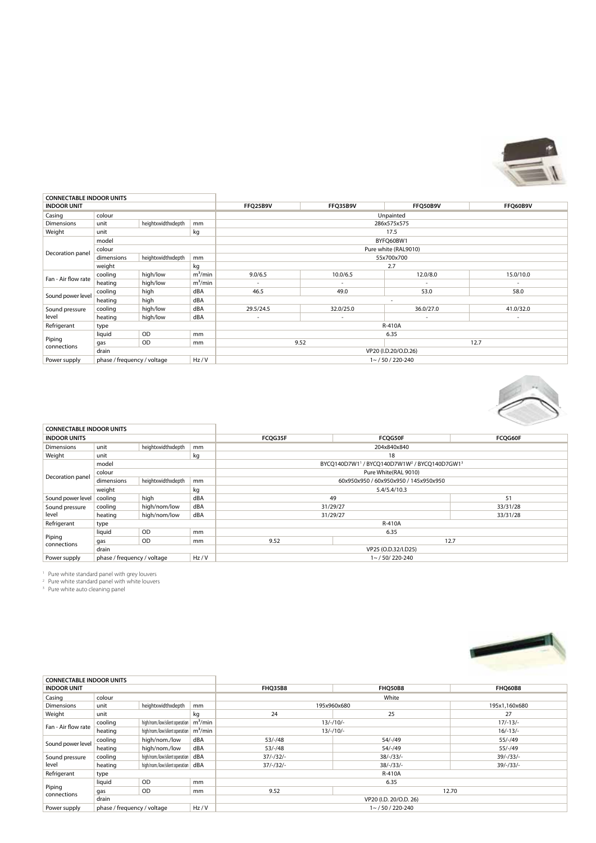

| <b>CONNECTABLE INDOOR UNITS</b> |                             |                    |            |                          |                          |                          |           |  |  |
|---------------------------------|-----------------------------|--------------------|------------|--------------------------|--------------------------|--------------------------|-----------|--|--|
| <b>INDOOR UNIT</b>              |                             |                    |            | FFQ25B9V                 | FFQ35B9V                 | FFQ50B9V                 | FFQ60B9V  |  |  |
| Casing                          | colour                      |                    |            |                          | Unpainted                |                          |           |  |  |
| <b>Dimensions</b>               | unit                        | heightxwidthxdepth | mm         |                          |                          | 286x575x575              |           |  |  |
| Weight                          | unit                        |                    | kg         |                          |                          | 17.5                     |           |  |  |
|                                 | model                       |                    |            |                          |                          | BYFQ60BW1                |           |  |  |
| Decoration panel                | colour                      |                    |            |                          |                          | Pure white (RAL9010)     |           |  |  |
|                                 | dimensions                  | heightxwidthxdepth | mm         |                          | 55x700x700               |                          |           |  |  |
|                                 | weight                      |                    | kg         |                          | 2.7                      |                          |           |  |  |
| Fan - Air flow rate             | cooling                     | high/low           | $m^3/m$ in | 9.0/6.5                  | 10.0/6.5                 | 12.0/8.0                 | 15.0/10.0 |  |  |
|                                 | heating                     | high/low           | $m^3/m$ in | $\overline{\phantom{a}}$ | $\overline{\phantom{a}}$ |                          |           |  |  |
| Sound power level               | cooling                     | high               | dBA        | 46.5                     | 49.0                     | 53.0                     | 58.0      |  |  |
|                                 | heating                     | high               | dBA        |                          |                          | $\overline{\phantom{a}}$ |           |  |  |
| Sound pressure                  | cooling                     | high/low           | dBA        | 29.5/24.5                | 32.0/25.0                | 36.0/27.0                | 41.0/32.0 |  |  |
| level                           | heating                     | high/low           | dBA        | $\sim$                   | ٠                        |                          | $\sim$    |  |  |
| Refrigerant                     | type                        |                    |            |                          |                          | <b>R-410A</b>            |           |  |  |
|                                 | liquid                      | OD                 | mm         |                          |                          | 6.35                     |           |  |  |
| Piping<br>connections           | gas                         | OD                 | mm         |                          | 9.52                     |                          | 12.7      |  |  |
|                                 | drain                       |                    |            |                          |                          | VP20 (I.D.20/O.D.26)     |           |  |  |
| Power supply                    | phase / frequency / voltage |                    | Hz/V       |                          | $1 - 750/220 - 240$      |                          |           |  |  |



|                     | <b>CONNECTABLE INDOOR UNITS</b> |                    |               |                                                                      |                                       |          |  |  |
|---------------------|---------------------------------|--------------------|---------------|----------------------------------------------------------------------|---------------------------------------|----------|--|--|
| <b>INDOOR UNITS</b> |                                 |                    |               | FCOG35F                                                              | <b>FCQG50F</b>                        | FCOG60F  |  |  |
| <b>Dimensions</b>   | unit                            | heightxwidthxdepth | <sub>mm</sub> |                                                                      | 204x840x840                           |          |  |  |
| Weight              | unit                            |                    | kg            | 18                                                                   |                                       |          |  |  |
|                     | model                           |                    |               | BYCQ140D7W11 / BYCQ140D7W1W <sup>2</sup> / BYCQ140D7GW1 <sup>3</sup> |                                       |          |  |  |
| Decoration panel    | colour                          |                    |               |                                                                      | Pure White(RAL 9010)                  |          |  |  |
|                     | dimensions                      | heightxwidthxdepth | mm            |                                                                      | 60x950x950 / 60x950x950 / 145x950x950 |          |  |  |
|                     | weight<br>kg                    |                    |               | 5.4/5.4/10.3                                                         |                                       |          |  |  |
| Sound power level   | cooling                         | high               | dBA           | 49                                                                   |                                       | 51       |  |  |
| Sound pressure      | cooling                         | high/nom/low       | dBA           |                                                                      | 31/29/27                              |          |  |  |
| level               | heating                         | high/nom/low       | dBA           | 31/29/27                                                             |                                       | 33/31/28 |  |  |
| Refrigerant         | type                            |                    |               | <b>R-410A</b>                                                        |                                       |          |  |  |
|                     | liquid                          | OD                 | mm            |                                                                      | 6.35                                  |          |  |  |
| Piping              | gas                             | OD                 | mm            | 9.52                                                                 |                                       | 12.7     |  |  |
| connections         | drain                           |                    |               | VP25 (O.D.32/I.D25)                                                  |                                       |          |  |  |
| Power supply        | phase / frequency / voltage     |                    | Hz/V          |                                                                      | $1 - 750/220 - 240$                   |          |  |  |

<sup>1</sup> Pure white standard panel with grey louvers <sup>2</sup> Pure white standard panel with white louvers <sup>3</sup> Pure white auto cleaning panel



| <b>CONNECTABLE INDOOR UNITS</b> |                                     |                                     |               |                        |                |                |  |
|---------------------------------|-------------------------------------|-------------------------------------|---------------|------------------------|----------------|----------------|--|
| <b>INDOOR UNIT</b>              |                                     |                                     |               | <b>FHO35B8</b>         | <b>FHO50B8</b> | <b>FHO60B8</b> |  |
| Casing                          | colour                              |                                     |               | White                  |                |                |  |
| Dimensions                      | heightxwidthxdepth<br>unit<br>mm    |                                     |               | 195x960x680            |                | 195x1,160x680  |  |
| Weight                          | unit                                |                                     | kg            | 24                     | 25             | 27             |  |
| Fan - Air flow rate             | cooling                             | high/nom./low/silent operation      |               | $13/-/10/-$            |                | $17/-13/-$     |  |
|                                 | heating                             | high/nom/low/silent operation       |               | $13/-/10/-$            |                | $16/-13/-$     |  |
| Sound power level               | cooling                             | high/nom./low                       | dBA           | $53/-/48$              | $54/-/49$      | $55/-/49$      |  |
|                                 | heating                             | high/nom./low                       | dBA           | $53/-/48$              | 54/-/49        | 55/-/49        |  |
| Sound pressure                  | cooling                             | high/nom./low/silent operation      | dBA           | $37/-/32/-$            | $38/-/33/-$    | $39/-/33/-$    |  |
| level                           | heating                             | high/nom/low/silent operation   dBA |               | $37/-/32/-$            | $38/-/33/-$    | $39/-/33/-$    |  |
| Refrigerant                     | type                                |                                     |               | R-410A                 |                |                |  |
| Piping<br>connections           | liquid                              | OD                                  |               | 6.35                   |                |                |  |
|                                 | gas                                 | <b>OD</b>                           | <sub>mm</sub> | 9.52                   |                | 12.70          |  |
|                                 | drain                               |                                     |               | VP20 (I.D. 20/O.D. 26) |                |                |  |
| Power supply                    | Hz/V<br>phase / frequency / voltage |                                     |               | $1 - 750/220 - 240$    |                |                |  |